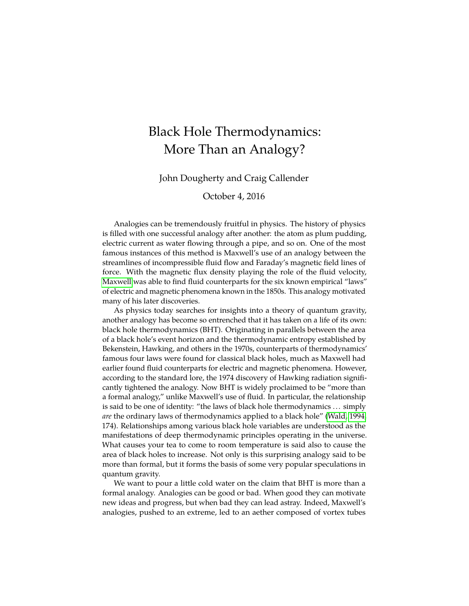# Black Hole Thermodynamics: More Than an Analogy?

John Dougherty and Craig Callender

#### October 4, 2016

Analogies can be tremendously fruitful in physics. The history of physics is filled with one successful analogy after another: the atom as plum pudding, electric current as water flowing through a pipe, and so on. One of the most famous instances of this method is Maxwell's use of an analogy between the streamlines of incompressible fluid flow and Faraday's magnetic field lines of force. With the magnetic flux density playing the role of the fluid velocity, [Maxwell](#page-24-0) was able to find fluid counterparts for the six known empirical "laws" of electric and magnetic phenomena known in the 1850s. This analogy motivated many of his later discoveries.

As physics today searches for insights into a theory of quantum gravity, another analogy has become so entrenched that it has taken on a life of its own: black hole thermodynamics (BHT). Originating in parallels between the area of a black hole's event horizon and the thermodynamic entropy established by Bekenstein, Hawking, and others in the 1970s, counterparts of thermodynamics' famous four laws were found for classical black holes, much as Maxwell had earlier found fluid counterparts for electric and magnetic phenomena. However, according to the standard lore, the 1974 discovery of Hawking radiation significantly tightened the analogy. Now BHT is widely proclaimed to be "more than a formal analogy," unlike Maxwell's use of fluid. In particular, the relationship is said to be one of identity: "the laws of black hole thermodynamics . . . simply *are* the ordinary laws of thermodynamics applied to a black hole" [\(Wald, 1994,](#page-24-1) 174). Relationships among various black hole variables are understood as the manifestations of deep thermodynamic principles operating in the universe. What causes your tea to come to room temperature is said also to cause the area of black holes to increase. Not only is this surprising analogy said to be more than formal, but it forms the basis of some very popular speculations in quantum gravity.

We want to pour a little cold water on the claim that BHT is more than a formal analogy. Analogies can be good or bad. When good they can motivate new ideas and progress, but when bad they can lead astray. Indeed, Maxwell's analogies, pushed to an extreme, led to an aether composed of vortex tubes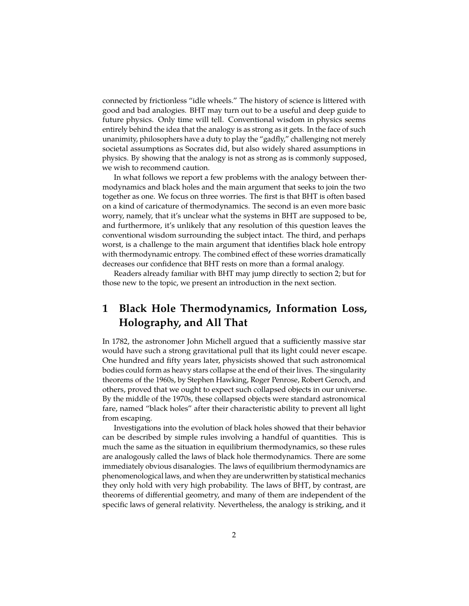connected by frictionless "idle wheels." The history of science is littered with good and bad analogies. BHT may turn out to be a useful and deep guide to future physics. Only time will tell. Conventional wisdom in physics seems entirely behind the idea that the analogy is as strong as it gets. In the face of such unanimity, philosophers have a duty to play the "gadfly," challenging not merely societal assumptions as Socrates did, but also widely shared assumptions in physics. By showing that the analogy is not as strong as is commonly supposed, we wish to recommend caution.

In what follows we report a few problems with the analogy between thermodynamics and black holes and the main argument that seeks to join the two together as one. We focus on three worries. The first is that BHT is often based on a kind of caricature of thermodynamics. The second is an even more basic worry, namely, that it's unclear what the systems in BHT are supposed to be, and furthermore, it's unlikely that any resolution of this question leaves the conventional wisdom surrounding the subject intact. The third, and perhaps worst, is a challenge to the main argument that identifies black hole entropy with thermodynamic entropy. The combined effect of these worries dramatically decreases our confidence that BHT rests on more than a formal analogy.

Readers already familiar with BHT may jump directly to section 2; but for those new to the topic, we present an introduction in the next section.

# **1 Black Hole Thermodynamics, Information Loss, Holography, and All That**

In 1782, the astronomer John Michell argued that a sufficiently massive star would have such a strong gravitational pull that its light could never escape. One hundred and fifty years later, physicists showed that such astronomical bodies could form as heavy stars collapse at the end of their lives. The singularity theorems of the 1960s, by Stephen Hawking, Roger Penrose, Robert Geroch, and others, proved that we ought to expect such collapsed objects in our universe. By the middle of the 1970s, these collapsed objects were standard astronomical fare, named "black holes" after their characteristic ability to prevent all light from escaping.

Investigations into the evolution of black holes showed that their behavior can be described by simple rules involving a handful of quantities. This is much the same as the situation in equilibrium thermodynamics, so these rules are analogously called the laws of black hole thermodynamics. There are some immediately obvious disanalogies. The laws of equilibrium thermodynamics are phenomenological laws, and when they are underwritten by statistical mechanics they only hold with very high probability. The laws of BHT, by contrast, are theorems of differential geometry, and many of them are independent of the specific laws of general relativity. Nevertheless, the analogy is striking, and it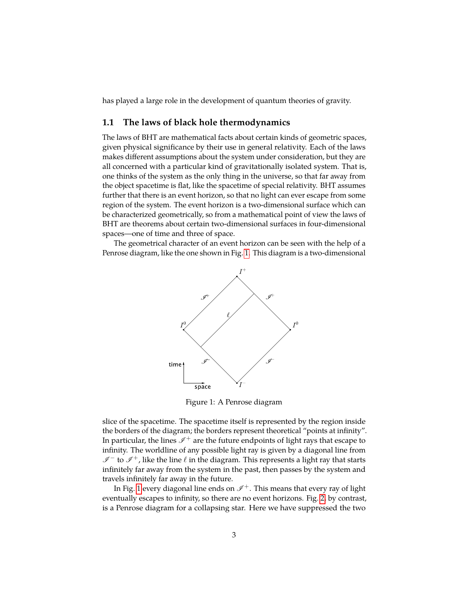has played a large role in the development of quantum theories of gravity.

#### <span id="page-2-1"></span>**1.1 The laws of black hole thermodynamics**

The laws of BHT are mathematical facts about certain kinds of geometric spaces, given physical significance by their use in general relativity. Each of the laws makes different assumptions about the system under consideration, but they are all concerned with a particular kind of gravitationally isolated system. That is, one thinks of the system as the only thing in the universe, so that far away from the object spacetime is flat, like the spacetime of special relativity. BHT assumes further that there is an event horizon, so that no light can ever escape from some region of the system. The event horizon is a two-dimensional surface which can be characterized geometrically, so from a mathematical point of view the laws of BHT are theorems about certain two-dimensional surfaces in four-dimensional spaces—one of time and three of space.

<span id="page-2-0"></span>The geometrical character of an event horizon can be seen with the help of a Penrose diagram, like the one shown in Fig. [1.](#page-2-0) This diagram is a two-dimensional



Figure 1: A Penrose diagram

slice of the spacetime. The spacetime itself is represented by the region inside the borders of the diagram; the borders represent theoretical "points at infinity". In particular, the lines  $\mathscr{I}^+$  are the future endpoints of light rays that escape to infinity. The worldline of any possible light ray is given by a diagonal line from  $\mathscr{I}^-$  to  $\mathscr{I}^+$ , like the line  $\ell$  in the diagram. This represents a light ray that starts infinitely far away from the system in the past, then passes by the system and travels infinitely far away in the future.

In Fig. [1](#page-2-0) every diagonal line ends on  $\mathcal{I}^+$ . This means that every ray of light eventually escapes to infinity, so there are no event horizons. Fig. [2,](#page-3-0) by contrast, is a Penrose diagram for a collapsing star. Here we have suppressed the two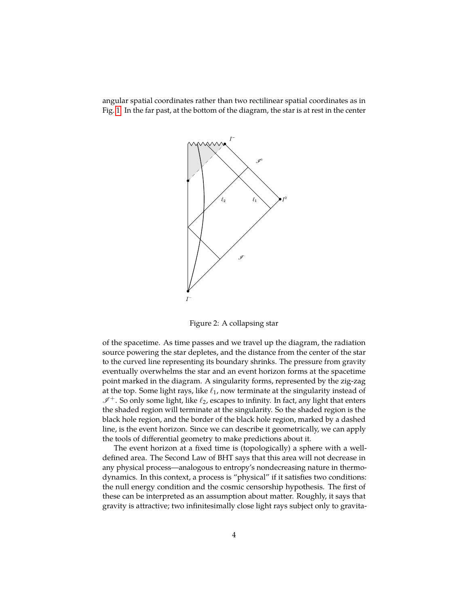<span id="page-3-0"></span>angular spatial coordinates rather than two rectilinear spatial coordinates as in Fig. [1.](#page-2-0) In the far past, at the bottom of the diagram, the star is at rest in the center



Figure 2: A collapsing star

of the spacetime. As time passes and we travel up the diagram, the radiation source powering the star depletes, and the distance from the center of the star to the curved line representing its boundary shrinks. The pressure from gravity eventually overwhelms the star and an event horizon forms at the spacetime point marked in the diagram. A singularity forms, represented by the zig-zag at the top. Some light rays, like  $\ell_1$ , now terminate at the singularity instead of  $I^+$ . So only some light, like  $\ell_2$ , escapes to infinity. In fact, any light that enters the shaded region will terminate at the singularity. So the shaded region is the black hole region, and the border of the black hole region, marked by a dashed line, is the event horizon. Since we can describe it geometrically, we can apply the tools of differential geometry to make predictions about it.

The event horizon at a fixed time is (topologically) a sphere with a welldefined area. The Second Law of BHT says that this area will not decrease in any physical process—analogous to entropy's nondecreasing nature in thermodynamics. In this context, a process is "physical" if it satisfies two conditions: the null energy condition and the cosmic censorship hypothesis. The first of these can be interpreted as an assumption about matter. Roughly, it says that gravity is attractive; two infinitesimally close light rays subject only to gravita-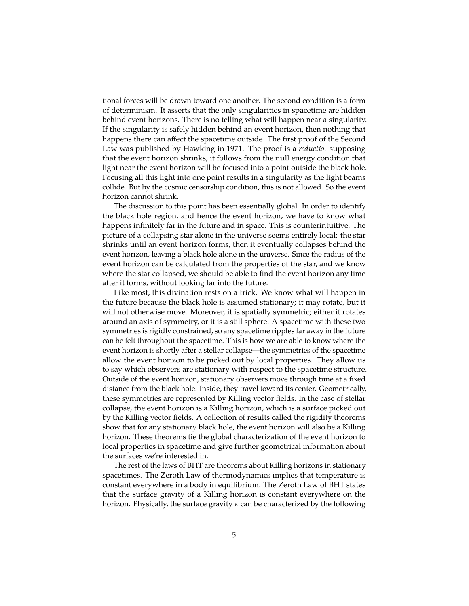tional forces will be drawn toward one another. The second condition is a form of determinism. It asserts that the only singularities in spacetime are hidden behind event horizons. There is no telling what will happen near a singularity. If the singularity is safely hidden behind an event horizon, then nothing that happens there can affect the spacetime outside. The first proof of the Second Law was published by Hawking in [1971.](#page-23-0) The proof is a *reductio*: supposing that the event horizon shrinks, it follows from the null energy condition that light near the event horizon will be focused into a point outside the black hole. Focusing all this light into one point results in a singularity as the light beams collide. But by the cosmic censorship condition, this is not allowed. So the event horizon cannot shrink.

The discussion to this point has been essentially global. In order to identify the black hole region, and hence the event horizon, we have to know what happens infinitely far in the future and in space. This is counterintuitive. The picture of a collapsing star alone in the universe seems entirely local: the star shrinks until an event horizon forms, then it eventually collapses behind the event horizon, leaving a black hole alone in the universe. Since the radius of the event horizon can be calculated from the properties of the star, and we know where the star collapsed, we should be able to find the event horizon any time after it forms, without looking far into the future.

Like most, this divination rests on a trick. We know what will happen in the future because the black hole is assumed stationary; it may rotate, but it will not otherwise move. Moreover, it is spatially symmetric; either it rotates around an axis of symmetry, or it is a still sphere. A spacetime with these two symmetries is rigidly constrained, so any spacetime ripples far away in the future can be felt throughout the spacetime. This is how we are able to know where the event horizon is shortly after a stellar collapse—the symmetries of the spacetime allow the event horizon to be picked out by local properties. They allow us to say which observers are stationary with respect to the spacetime structure. Outside of the event horizon, stationary observers move through time at a fixed distance from the black hole. Inside, they travel toward its center. Geometrically, these symmetries are represented by Killing vector fields. In the case of stellar collapse, the event horizon is a Killing horizon, which is a surface picked out by the Killing vector fields. A collection of results called the rigidity theorems show that for any stationary black hole, the event horizon will also be a Killing horizon. These theorems tie the global characterization of the event horizon to local properties in spacetime and give further geometrical information about the surfaces we're interested in.

The rest of the laws of BHT are theorems about Killing horizons in stationary spacetimes. The Zeroth Law of thermodynamics implies that temperature is constant everywhere in a body in equilibrium. The Zeroth Law of BHT states that the surface gravity of a Killing horizon is constant everywhere on the horizon. Physically, the surface gravity *κ* can be characterized by the following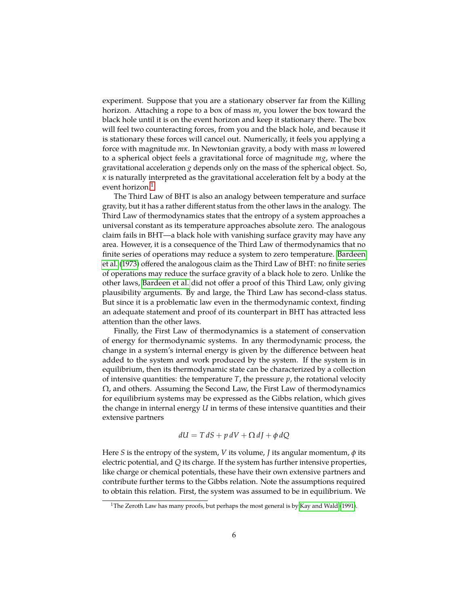experiment. Suppose that you are a stationary observer far from the Killing horizon. Attaching a rope to a box of mass *m*, you lower the box toward the black hole until it is on the event horizon and keep it stationary there. The box will feel two counteracting forces, from you and the black hole, and because it is stationary these forces will cancel out. Numerically, it feels you applying a force with magnitude *mκ*. In Newtonian gravity, a body with mass *m* lowered to a spherical object feels a gravitational force of magnitude *mg*, where the gravitational acceleration *g* depends only on the mass of the spherical object. So, *κ* is naturally interpreted as the gravitational acceleration felt by a body at the event horizon.<sup>[1](#page-5-0)</sup>

The Third Law of BHT is also an analogy between temperature and surface gravity, but it has a rather different status from the other laws in the analogy. The Third Law of thermodynamics states that the entropy of a system approaches a universal constant as its temperature approaches absolute zero. The analogous claim fails in BHT—a black hole with vanishing surface gravity may have any area. However, it is a consequence of the Third Law of thermodynamics that no finite series of operations may reduce a system to zero temperature. [Bardeen](#page-22-0) [et al.](#page-22-0) [\(1973\)](#page-22-0) offered the analogous claim as the Third Law of BHT: no finite series of operations may reduce the surface gravity of a black hole to zero. Unlike the other laws, [Bardeen et al.](#page-22-0) did not offer a proof of this Third Law, only giving plausibility arguments. By and large, the Third Law has second-class status. But since it is a problematic law even in the thermodynamic context, finding an adequate statement and proof of its counterpart in BHT has attracted less attention than the other laws.

Finally, the First Law of thermodynamics is a statement of conservation of energy for thermodynamic systems. In any thermodynamic process, the change in a system's internal energy is given by the difference between heat added to the system and work produced by the system. If the system is in equilibrium, then its thermodynamic state can be characterized by a collection of intensive quantities: the temperature  $T$ , the pressure  $p$ , the rotational velocity  $\Omega$ , and others. Assuming the Second Law, the First Law of thermodynamics for equilibrium systems may be expressed as the Gibbs relation, which gives the change in internal energy *U* in terms of these intensive quantities and their extensive partners

$$
dU = T dS + p dV + \Omega dJ + \phi dQ
$$

Here *S* is the entropy of the system, *V* its volume, *J* its angular momentum, *φ* its electric potential, and *Q* its charge. If the system has further intensive properties, like charge or chemical potentials, these have their own extensive partners and contribute further terms to the Gibbs relation. Note the assumptions required to obtain this relation. First, the system was assumed to be in equilibrium. We

<span id="page-5-0"></span><sup>&</sup>lt;sup>1</sup>The Zeroth Law has many proofs, but perhaps the most general is by [Kay and Wald](#page-24-2) [\(1991\)](#page-24-2).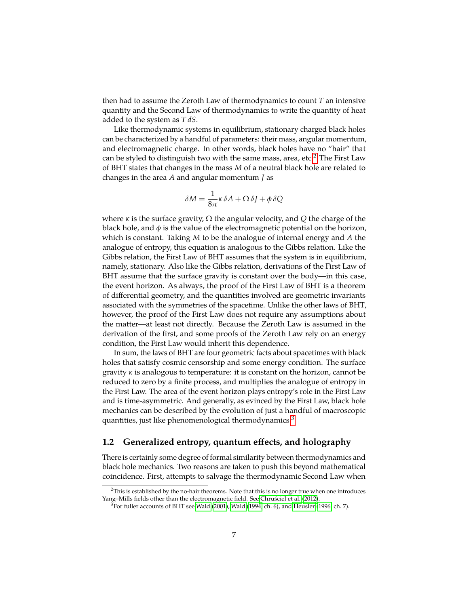then had to assume the Zeroth Law of thermodynamics to count *T* an intensive quantity and the Second Law of thermodynamics to write the quantity of heat added to the system as *T dS*.

Like thermodynamic systems in equilibrium, stationary charged black holes can be characterized by a handful of parameters: their mass, angular momentum, and electromagnetic charge. In other words, black holes have no "hair" that can be styled to distinguish two with the same mass, area, etc.<sup>[2](#page-6-0)</sup> The First Law of BHT states that changes in the mass *M* of a neutral black hole are related to changes in the area *A* and angular momentum *J* as

$$
\delta M = \frac{1}{8\pi} \kappa \delta A + \Omega \delta J + \phi \delta Q
$$

where *κ* is the surface gravity, Ω the angular velocity, and *Q* the charge of the black hole, and  $\phi$  is the value of the electromagnetic potential on the horizon, which is constant. Taking *M* to be the analogue of internal energy and *A* the analogue of entropy, this equation is analogous to the Gibbs relation. Like the Gibbs relation, the First Law of BHT assumes that the system is in equilibrium, namely, stationary. Also like the Gibbs relation, derivations of the First Law of BHT assume that the surface gravity is constant over the body—in this case, the event horizon. As always, the proof of the First Law of BHT is a theorem of differential geometry, and the quantities involved are geometric invariants associated with the symmetries of the spacetime. Unlike the other laws of BHT, however, the proof of the First Law does not require any assumptions about the matter—at least not directly. Because the Zeroth Law is assumed in the derivation of the first, and some proofs of the Zeroth Law rely on an energy condition, the First Law would inherit this dependence.

In sum, the laws of BHT are four geometric facts about spacetimes with black holes that satisfy cosmic censorship and some energy condition. The surface gravity *κ* is analogous to temperature: it is constant on the horizon, cannot be reduced to zero by a finite process, and multiplies the analogue of entropy in the First Law. The area of the event horizon plays entropy's role in the First Law and is time-asymmetric. And generally, as evinced by the First Law, black hole mechanics can be described by the evolution of just a handful of macroscopic quantities, just like phenomenological thermodynamics.<sup>[3](#page-6-1)</sup>

#### **1.2 Generalized entropy, quantum effects, and holography**

There is certainly some degree of formal similarity between thermodynamics and black hole mechanics. Two reasons are taken to push this beyond mathematical coincidence. First, attempts to salvage the thermodynamic Second Law when

<span id="page-6-0"></span><sup>&</sup>lt;sup>2</sup>This is established by the no-hair theorems. Note that this is no longer true when one introduces Yang-Mills fields other than the electromagnetic field. See [Chrusciel et al.](#page-23-1) [\(2012\)](#page-23-1).

<span id="page-6-1"></span> $3$ For fuller accounts of BHT see [Wald](#page-24-1) [\(2001\)](#page-24-3), Wald [\(1994,](#page-24-1) ch. 6), and [Heusler](#page-23-2) [\(1996,](#page-23-2) ch. 7).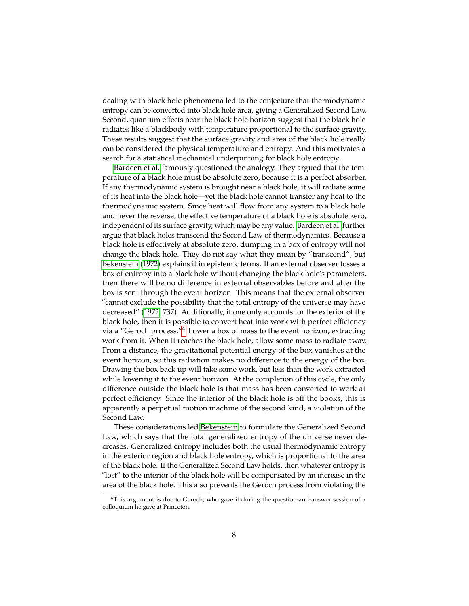dealing with black hole phenomena led to the conjecture that thermodynamic entropy can be converted into black hole area, giving a Generalized Second Law. Second, quantum effects near the black hole horizon suggest that the black hole radiates like a blackbody with temperature proportional to the surface gravity. These results suggest that the surface gravity and area of the black hole really can be considered the physical temperature and entropy. And this motivates a search for a statistical mechanical underpinning for black hole entropy.

[Bardeen et al.](#page-22-0) famously questioned the analogy. They argued that the temperature of a black hole must be absolute zero, because it is a perfect absorber. If any thermodynamic system is brought near a black hole, it will radiate some of its heat into the black hole—yet the black hole cannot transfer any heat to the thermodynamic system. Since heat will flow from any system to a black hole and never the reverse, the effective temperature of a black hole is absolute zero, independent of its surface gravity, which may be any value. [Bardeen et al.](#page-22-0) further argue that black holes transcend the Second Law of thermodynamics. Because a black hole is effectively at absolute zero, dumping in a box of entropy will not change the black hole. They do not say what they mean by "transcend", but [Bekenstein](#page-22-1) [\(1972\)](#page-22-1) explains it in epistemic terms. If an external observer tosses a box of entropy into a black hole without changing the black hole's parameters, then there will be no difference in external observables before and after the box is sent through the event horizon. This means that the external observer "cannot exclude the possibility that the total entropy of the universe may have decreased" [\(1972,](#page-22-1) 737). Additionally, if one only accounts for the exterior of the black hole, then it is possible to convert heat into work with perfect efficiency via a "Geroch process."<sup>[4](#page-7-0)</sup> Lower a box of mass to the event horizon, extracting work from it. When it reaches the black hole, allow some mass to radiate away. From a distance, the gravitational potential energy of the box vanishes at the event horizon, so this radiation makes no difference to the energy of the box. Drawing the box back up will take some work, but less than the work extracted while lowering it to the event horizon. At the completion of this cycle, the only difference outside the black hole is that mass has been converted to work at perfect efficiency. Since the interior of the black hole is off the books, this is apparently a perpetual motion machine of the second kind, a violation of the Second Law.

These considerations led [Bekenstein](#page-22-1) to formulate the Generalized Second Law, which says that the total generalized entropy of the universe never decreases. Generalized entropy includes both the usual thermodynamic entropy in the exterior region and black hole entropy, which is proportional to the area of the black hole. If the Generalized Second Law holds, then whatever entropy is "lost" to the interior of the black hole will be compensated by an increase in the area of the black hole. This also prevents the Geroch process from violating the

<span id="page-7-0"></span> $4$ This argument is due to Geroch, who gave it during the question-and-answer session of a colloquium he gave at Princeton.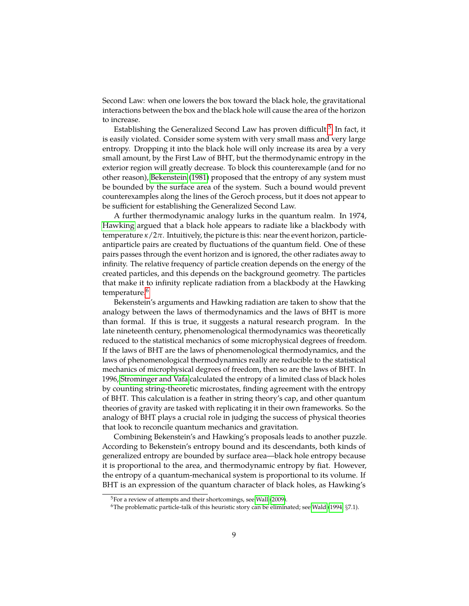Second Law: when one lowers the box toward the black hole, the gravitational interactions between the box and the black hole will cause the area of the horizon to increase.

Establishing the Generalized Second Law has proven difficult.<sup>[5](#page-8-0)</sup> In fact, it is easily violated. Consider some system with very small mass and very large entropy. Dropping it into the black hole will only increase its area by a very small amount, by the First Law of BHT, but the thermodynamic entropy in the exterior region will greatly decrease. To block this counterexample (and for no other reason), [Bekenstein](#page-23-3) [\(1981\)](#page-23-3) proposed that the entropy of any system must be bounded by the surface area of the system. Such a bound would prevent counterexamples along the lines of the Geroch process, but it does not appear to be sufficient for establishing the Generalized Second Law.

A further thermodynamic analogy lurks in the quantum realm. In 1974, [Hawking](#page-23-4) argued that a black hole appears to radiate like a blackbody with temperature *κ*/2*π*. Intuitively, the picture is this: near the event horizon, particleantiparticle pairs are created by fluctuations of the quantum field. One of these pairs passes through the event horizon and is ignored, the other radiates away to infinity. The relative frequency of particle creation depends on the energy of the created particles, and this depends on the background geometry. The particles that make it to infinity replicate radiation from a blackbody at the Hawking temperature.<sup>[6](#page-8-1)</sup>

Bekenstein's arguments and Hawking radiation are taken to show that the analogy between the laws of thermodynamics and the laws of BHT is more than formal. If this is true, it suggests a natural research program. In the late nineteenth century, phenomenological thermodynamics was theoretically reduced to the statistical mechanics of some microphysical degrees of freedom. If the laws of BHT are the laws of phenomenological thermodynamics, and the laws of phenomenological thermodynamics really are reducible to the statistical mechanics of microphysical degrees of freedom, then so are the laws of BHT. In 1996, [Strominger and Vafa](#page-24-4) calculated the entropy of a limited class of black holes by counting string-theoretic microstates, finding agreement with the entropy of BHT. This calculation is a feather in string theory's cap, and other quantum theories of gravity are tasked with replicating it in their own frameworks. So the analogy of BHT plays a crucial role in judging the success of physical theories that look to reconcile quantum mechanics and gravitation.

Combining Bekenstein's and Hawking's proposals leads to another puzzle. According to Bekenstein's entropy bound and its descendants, both kinds of generalized entropy are bounded by surface area—black hole entropy because it is proportional to the area, and thermodynamic entropy by fiat. However, the entropy of a quantum-mechanical system is proportional to its volume. If BHT is an expression of the quantum character of black holes, as Hawking's

<span id="page-8-0"></span><sup>&</sup>lt;sup>5</sup>For a review of attempts and their shortcomings, see [Wall](#page-24-5) [\(2009\)](#page-24-5).

<span id="page-8-1"></span><sup>&</sup>lt;sup>6</sup>The problematic particle-talk of this heuristic story can be eliminated; see [Wald](#page-24-1) [\(1994,](#page-24-1)  $\S7.1$ ).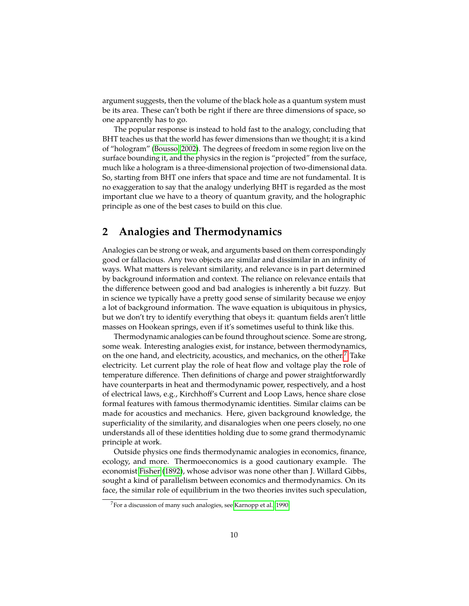argument suggests, then the volume of the black hole as a quantum system must be its area. These can't both be right if there are three dimensions of space, so one apparently has to go.

The popular response is instead to hold fast to the analogy, concluding that BHT teaches us that the world has fewer dimensions than we thought; it is a kind of "hologram" [\(Bousso, 2002\)](#page-23-5). The degrees of freedom in some region live on the surface bounding it, and the physics in the region is "projected" from the surface, much like a hologram is a three-dimensional projection of two-dimensional data. So, starting from BHT one infers that space and time are not fundamental. It is no exaggeration to say that the analogy underlying BHT is regarded as the most important clue we have to a theory of quantum gravity, and the holographic principle as one of the best cases to build on this clue.

## **2 Analogies and Thermodynamics**

Analogies can be strong or weak, and arguments based on them correspondingly good or fallacious. Any two objects are similar and dissimilar in an infinity of ways. What matters is relevant similarity, and relevance is in part determined by background information and context. The reliance on relevance entails that the difference between good and bad analogies is inherently a bit fuzzy. But in science we typically have a pretty good sense of similarity because we enjoy a lot of background information. The wave equation is ubiquitous in physics, but we don't try to identify everything that obeys it: quantum fields aren't little masses on Hookean springs, even if it's sometimes useful to think like this.

Thermodynamic analogies can be found throughout science. Some are strong, some weak. Interesting analogies exist, for instance, between thermodynamics, on the one hand, and electricity, acoustics, and mechanics, on the other.<sup>[7](#page-9-0)</sup> Take electricity. Let current play the role of heat flow and voltage play the role of temperature difference. Then definitions of charge and power straightforwardly have counterparts in heat and thermodynamic power, respectively, and a host of electrical laws, e.g., Kirchhoff's Current and Loop Laws, hence share close formal features with famous thermodynamic identities. Similar claims can be made for acoustics and mechanics. Here, given background knowledge, the superficiality of the similarity, and disanalogies when one peers closely, no one understands all of these identities holding due to some grand thermodynamic principle at work.

Outside physics one finds thermodynamic analogies in economics, finance, ecology, and more. Thermoeconomics is a good cautionary example. The economist [Fisher](#page-23-6) [\(1892\)](#page-23-6), whose advisor was none other than J. Willard Gibbs, sought a kind of parallelism between economics and thermodynamics. On its face, the similar role of equilibrium in the two theories invites such speculation,

<span id="page-9-0"></span><sup>&</sup>lt;sup>7</sup>For a discussion of many such analogies, see [Karnopp et al., 1990.](#page-23-7)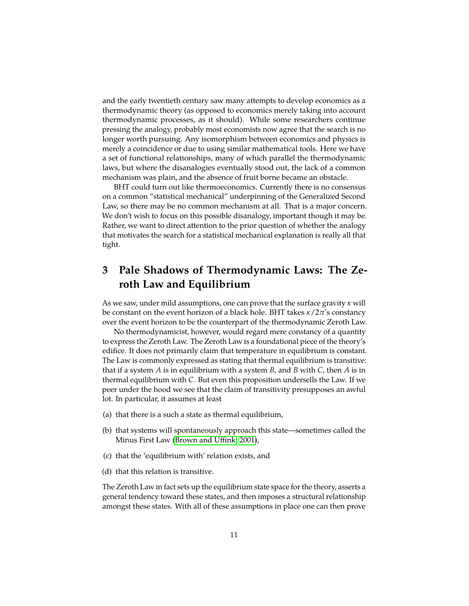and the early twentieth century saw many attempts to develop economics as a thermodynamic theory (as opposed to economics merely taking into account thermodynamic processes, as it should). While some researchers continue pressing the analogy, probably most economists now agree that the search is no longer worth pursuing. Any isomorphism between economics and physics is merely a coincidence or due to using similar mathematical tools. Here we have a set of functional relationships, many of which parallel the thermodynamic laws, but where the disanalogies eventually stood out, the lack of a common mechanism was plain, and the absence of fruit borne became an obstacle.

BHT could turn out like thermoeconomics. Currently there is no consensus on a common "statistical mechanical" underpinning of the Generalized Second Law, so there may be no common mechanism at all. That is a major concern. We don't wish to focus on this possible disanalogy, important though it may be. Rather, we want to direct attention to the prior question of whether the analogy that motivates the search for a statistical mechanical explanation is really all that tight.

# **3 Pale Shadows of Thermodynamic Laws: The Zeroth Law and Equilibrium**

As we saw, under mild assumptions, one can prove that the surface gravity *κ* will be constant on the event horizon of a black hole. BHT takes *κ*/2*π*'s constancy over the event horizon to be the counterpart of the thermodynamic Zeroth Law.

No thermodynamicist, however, would regard mere constancy of a quantity to express the Zeroth Law. The Zeroth Law is a foundational piece of the theory's edifice. It does not primarily claim that temperature in equilibrium is constant. The Law is commonly expressed as stating that thermal equilibrium is transitive: that if a system *A* is in equilibrium with a system *B*, and *B* with *C*, then *A* is in thermal equilibrium with *C*. But even this proposition undersells the Law. If we peer under the hood we see that the claim of transitivity presupposes an awful lot. In particular, it assumes at least

- (a) that there is a such a state as thermal equilibrium,
- (b) that systems will spontaneously approach this state—sometimes called the Minus First Law [\(Brown and Uffink, 2001\)](#page-23-8),
- (c) that the 'equilibrium with' relation exists, and
- (d) that this relation is transitive.

The Zeroth Law in fact sets up the equilibrium state space for the theory, asserts a general tendency toward these states, and then imposes a structural relationship amongst these states. With all of these assumptions in place one can then prove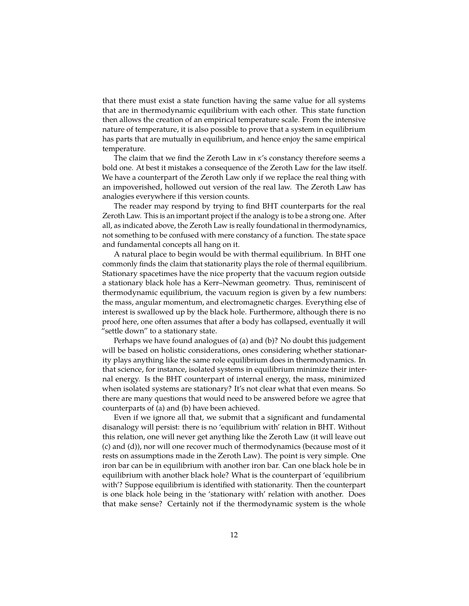that there must exist a state function having the same value for all systems that are in thermodynamic equilibrium with each other. This state function then allows the creation of an empirical temperature scale. From the intensive nature of temperature, it is also possible to prove that a system in equilibrium has parts that are mutually in equilibrium, and hence enjoy the same empirical temperature.

The claim that we find the Zeroth Law in *κ*'s constancy therefore seems a bold one. At best it mistakes a consequence of the Zeroth Law for the law itself. We have a counterpart of the Zeroth Law only if we replace the real thing with an impoverished, hollowed out version of the real law. The Zeroth Law has analogies everywhere if this version counts.

The reader may respond by trying to find BHT counterparts for the real Zeroth Law. This is an important project if the analogy is to be a strong one. After all, as indicated above, the Zeroth Law is really foundational in thermodynamics, not something to be confused with mere constancy of a function. The state space and fundamental concepts all hang on it.

A natural place to begin would be with thermal equilibrium. In BHT one commonly finds the claim that stationarity plays the role of thermal equilibrium. Stationary spacetimes have the nice property that the vacuum region outside a stationary black hole has a Kerr–Newman geometry. Thus, reminiscent of thermodynamic equilibrium, the vacuum region is given by a few numbers: the mass, angular momentum, and electromagnetic charges. Everything else of interest is swallowed up by the black hole. Furthermore, although there is no proof here, one often assumes that after a body has collapsed, eventually it will "settle down" to a stationary state.

Perhaps we have found analogues of (a) and (b)? No doubt this judgement will be based on holistic considerations, ones considering whether stationarity plays anything like the same role equilibrium does in thermodynamics. In that science, for instance, isolated systems in equilibrium minimize their internal energy. Is the BHT counterpart of internal energy, the mass, minimized when isolated systems are stationary? It's not clear what that even means. So there are many questions that would need to be answered before we agree that counterparts of (a) and (b) have been achieved.

Even if we ignore all that, we submit that a significant and fundamental disanalogy will persist: there is no 'equilibrium with' relation in BHT. Without this relation, one will never get anything like the Zeroth Law (it will leave out (c) and (d)), nor will one recover much of thermodynamics (because most of it rests on assumptions made in the Zeroth Law). The point is very simple. One iron bar can be in equilibrium with another iron bar. Can one black hole be in equilibrium with another black hole? What is the counterpart of 'equilibrium with'? Suppose equilibrium is identified with stationarity. Then the counterpart is one black hole being in the 'stationary with' relation with another. Does that make sense? Certainly not if the thermodynamic system is the whole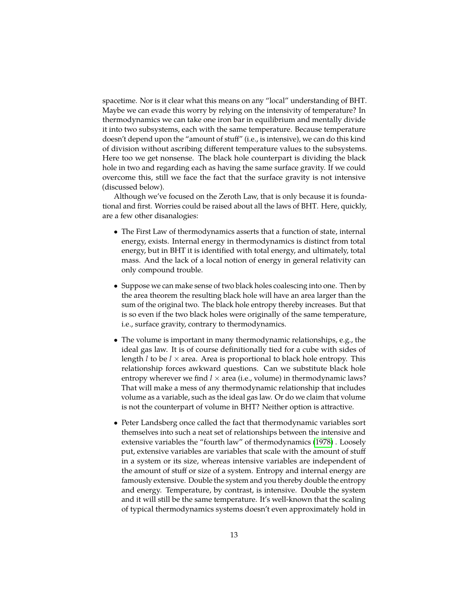spacetime. Nor is it clear what this means on any "local" understanding of BHT. Maybe we can evade this worry by relying on the intensivity of temperature? In thermodynamics we can take one iron bar in equilibrium and mentally divide it into two subsystems, each with the same temperature. Because temperature doesn't depend upon the "amount of stuff" (i.e., is intensive), we can do this kind of division without ascribing different temperature values to the subsystems. Here too we get nonsense. The black hole counterpart is dividing the black hole in two and regarding each as having the same surface gravity. If we could overcome this, still we face the fact that the surface gravity is not intensive (discussed below).

Although we've focused on the Zeroth Law, that is only because it is foundational and first. Worries could be raised about all the laws of BHT. Here, quickly, are a few other disanalogies:

- The First Law of thermodynamics asserts that a function of state, internal energy, exists. Internal energy in thermodynamics is distinct from total energy, but in BHT it is identified with total energy, and ultimately, total mass. And the lack of a local notion of energy in general relativity can only compound trouble.
- Suppose we can make sense of two black holes coalescing into one. Then by the area theorem the resulting black hole will have an area larger than the sum of the original two. The black hole entropy thereby increases. But that is so even if the two black holes were originally of the same temperature, i.e., surface gravity, contrary to thermodynamics.
- The volume is important in many thermodynamic relationships, e.g., the ideal gas law. It is of course definitionally tied for a cube with sides of length *l* to be *l* × area. Area is proportional to black hole entropy. This relationship forces awkward questions. Can we substitute black hole entropy wherever we find  $l \times$  area (i.e., volume) in thermodynamic laws? That will make a mess of any thermodynamic relationship that includes volume as a variable, such as the ideal gas law. Or do we claim that volume is not the counterpart of volume in BHT? Neither option is attractive.
- Peter Landsberg once called the fact that thermodynamic variables sort themselves into such a neat set of relationships between the intensive and extensive variables the "fourth law" of thermodynamics [\(1978\)](#page-24-6) . Loosely put, extensive variables are variables that scale with the amount of stuff in a system or its size, whereas intensive variables are independent of the amount of stuff or size of a system. Entropy and internal energy are famously extensive. Double the system and you thereby double the entropy and energy. Temperature, by contrast, is intensive. Double the system and it will still be the same temperature. It's well-known that the scaling of typical thermodynamics systems doesn't even approximately hold in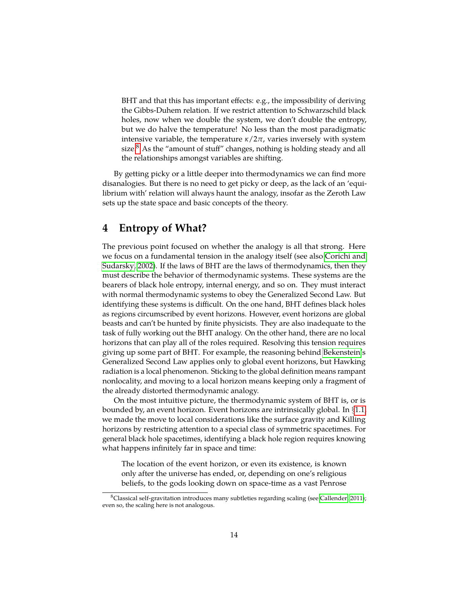BHT and that this has important effects: e.g., the impossibility of deriving the Gibbs-Duhem relation. If we restrict attention to Schwarzschild black holes, now when we double the system, we don't double the entropy, but we do halve the temperature! No less than the most paradigmatic intensive variable, the temperature  $\kappa/2\pi$ , varies inversely with system size. $8$  As the "amount of stuff" changes, nothing is holding steady and all the relationships amongst variables are shifting.

By getting picky or a little deeper into thermodynamics we can find more disanalogies. But there is no need to get picky or deep, as the lack of an 'equilibrium with' relation will always haunt the analogy, insofar as the Zeroth Law sets up the state space and basic concepts of the theory.

### **4 Entropy of What?**

The previous point focused on whether the analogy is all that strong. Here we focus on a fundamental tension in the analogy itself (see also [Corichi and](#page-23-9) [Sudarsky, 2002\)](#page-23-9). If the laws of BHT are the laws of thermodynamics, then they must describe the behavior of thermodynamic systems. These systems are the bearers of black hole entropy, internal energy, and so on. They must interact with normal thermodynamic systems to obey the Generalized Second Law. But identifying these systems is difficult. On the one hand, BHT defines black holes as regions circumscribed by event horizons. However, event horizons are global beasts and can't be hunted by finite physicists. They are also inadequate to the task of fully working out the BHT analogy. On the other hand, there are no local horizons that can play all of the roles required. Resolving this tension requires giving up some part of BHT. For example, the reasoning behind [Bekenstein'](#page-23-3)s Generalized Second Law applies only to global event horizons, but Hawking radiation is a local phenomenon. Sticking to the global definition means rampant nonlocality, and moving to a local horizon means keeping only a fragment of the already distorted thermodynamic analogy.

On the most intuitive picture, the thermodynamic system of BHT is, or is bounded by, an event horizon. Event horizons are intrinsically global. In §[1.1,](#page-2-1) we made the move to local considerations like the surface gravity and Killing horizons by restricting attention to a special class of symmetric spacetimes. For general black hole spacetimes, identifying a black hole region requires knowing what happens infinitely far in space and time:

The location of the event horizon, or even its existence, is known only after the universe has ended, or, depending on one's religious beliefs, to the gods looking down on space-time as a vast Penrose

<span id="page-13-0"></span> $8$ Classical self-gravitation introduces many subtleties regarding scaling (see [Callender, 2011\)](#page-23-10); even so, the scaling here is not analogous.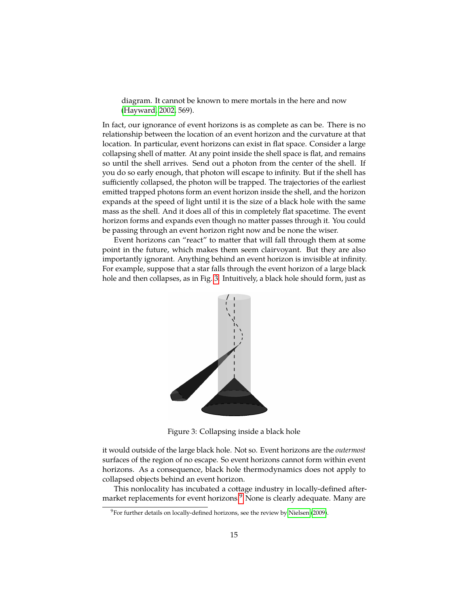diagram. It cannot be known to mere mortals in the here and now [\(Hayward, 2002,](#page-23-11) 569).

In fact, our ignorance of event horizons is as complete as can be. There is no relationship between the location of an event horizon and the curvature at that location. In particular, event horizons can exist in flat space. Consider a large collapsing shell of matter. At any point inside the shell space is flat, and remains so until the shell arrives. Send out a photon from the center of the shell. If you do so early enough, that photon will escape to infinity. But if the shell has sufficiently collapsed, the photon will be trapped. The trajectories of the earliest emitted trapped photons form an event horizon inside the shell, and the horizon expands at the speed of light until it is the size of a black hole with the same mass as the shell. And it does all of this in completely flat spacetime. The event horizon forms and expands even though no matter passes through it. You could be passing through an event horizon right now and be none the wiser.

<span id="page-14-0"></span>Event horizons can "react" to matter that will fall through them at some point in the future, which makes them seem clairvoyant. But they are also importantly ignorant. Anything behind an event horizon is invisible at infinity. For example, suppose that a star falls through the event horizon of a large black hole and then collapses, as in Fig. [3.](#page-14-0) Intuitively, a black hole should form, just as



Figure 3: Collapsing inside a black hole

it would outside of the large black hole. Not so. Event horizons are the *outermost* surfaces of the region of no escape. So event horizons cannot form within event horizons. As a consequence, black hole thermodynamics does not apply to collapsed objects behind an event horizon.

This nonlocality has incubated a cottage industry in locally-defined after-market replacements for event horizons.<sup>[9](#page-14-1)</sup> None is clearly adequate. Many are

<span id="page-14-1"></span><sup>&</sup>lt;sup>9</sup>For further details on locally-defined horizons, see the review by [Nielsen](#page-24-7) [\(2009\)](#page-24-7).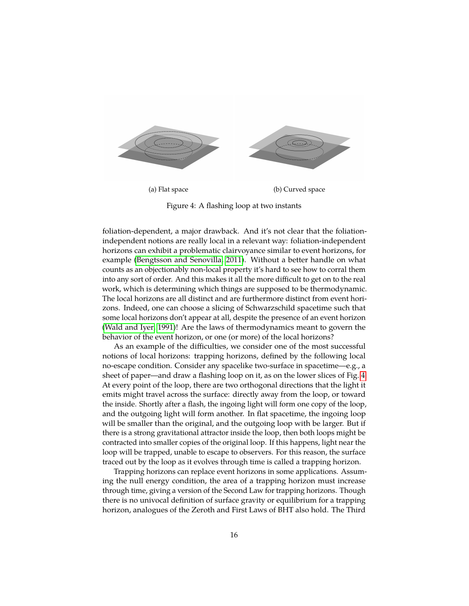<span id="page-15-0"></span>

Figure 4: A flashing loop at two instants

foliation-dependent, a major drawback. And it's not clear that the foliationindependent notions are really local in a relevant way: foliation-independent horizons can exhibit a problematic clairvoyance similar to event horizons, for example [\(Bengtsson and Senovilla, 2011\)](#page-23-12). Without a better handle on what counts as an objectionably non-local property it's hard to see how to corral them into any sort of order. And this makes it all the more difficult to get on to the real work, which is determining which things are supposed to be thermodynamic. The local horizons are all distinct and are furthermore distinct from event horizons. Indeed, one can choose a slicing of Schwarzschild spacetime such that some local horizons don't appear at all, despite the presence of an event horizon [\(Wald and Iyer, 1991\)](#page-24-8)! Are the laws of thermodynamics meant to govern the behavior of the event horizon, or one (or more) of the local horizons?

As an example of the difficulties, we consider one of the most successful notions of local horizons: trapping horizons, defined by the following local no-escape condition. Consider any spacelike two-surface in spacetime—e.g., a sheet of paper—and draw a flashing loop on it, as on the lower slices of Fig. [4.](#page-15-0) At every point of the loop, there are two orthogonal directions that the light it emits might travel across the surface: directly away from the loop, or toward the inside. Shortly after a flash, the ingoing light will form one copy of the loop, and the outgoing light will form another. In flat spacetime, the ingoing loop will be smaller than the original, and the outgoing loop with be larger. But if there is a strong gravitational attractor inside the loop, then both loops might be contracted into smaller copies of the original loop. If this happens, light near the loop will be trapped, unable to escape to observers. For this reason, the surface traced out by the loop as it evolves through time is called a trapping horizon.

Trapping horizons can replace event horizons in some applications. Assuming the null energy condition, the area of a trapping horizon must increase through time, giving a version of the Second Law for trapping horizons. Though there is no univocal definition of surface gravity or equilibrium for a trapping horizon, analogues of the Zeroth and First Laws of BHT also hold. The Third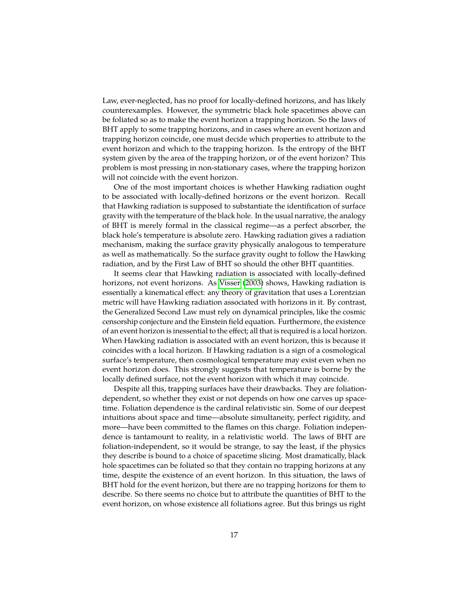Law, ever-neglected, has no proof for locally-defined horizons, and has likely counterexamples. However, the symmetric black hole spacetimes above can be foliated so as to make the event horizon a trapping horizon. So the laws of BHT apply to some trapping horizons, and in cases where an event horizon and trapping horizon coincide, one must decide which properties to attribute to the event horizon and which to the trapping horizon. Is the entropy of the BHT system given by the area of the trapping horizon, or of the event horizon? This problem is most pressing in non-stationary cases, where the trapping horizon will not coincide with the event horizon.

One of the most important choices is whether Hawking radiation ought to be associated with locally-defined horizons or the event horizon. Recall that Hawking radiation is supposed to substantiate the identification of surface gravity with the temperature of the black hole. In the usual narrative, the analogy of BHT is merely formal in the classical regime—as a perfect absorber, the black hole's temperature is absolute zero. Hawking radiation gives a radiation mechanism, making the surface gravity physically analogous to temperature as well as mathematically. So the surface gravity ought to follow the Hawking radiation, and by the First Law of BHT so should the other BHT quantities.

It seems clear that Hawking radiation is associated with locally-defined horizons, not event horizons. As [Visser](#page-24-9) [\(2003\)](#page-24-9) shows, Hawking radiation is essentially a kinematical effect: any theory of gravitation that uses a Lorentzian metric will have Hawking radiation associated with horizons in it. By contrast, the Generalized Second Law must rely on dynamical principles, like the cosmic censorship conjecture and the Einstein field equation. Furthermore, the existence of an event horizon is inessential to the effect; all that is required is a local horizon. When Hawking radiation is associated with an event horizon, this is because it coincides with a local horizon. If Hawking radiation is a sign of a cosmological surface's temperature, then cosmological temperature may exist even when no event horizon does. This strongly suggests that temperature is borne by the locally defined surface, not the event horizon with which it may coincide.

Despite all this, trapping surfaces have their drawbacks. They are foliationdependent, so whether they exist or not depends on how one carves up spacetime. Foliation dependence is the cardinal relativistic sin. Some of our deepest intuitions about space and time—absolute simultaneity, perfect rigidity, and more—have been committed to the flames on this charge. Foliation independence is tantamount to reality, in a relativistic world. The laws of BHT are foliation-independent, so it would be strange, to say the least, if the physics they describe is bound to a choice of spacetime slicing. Most dramatically, black hole spacetimes can be foliated so that they contain no trapping horizons at any time, despite the existence of an event horizon. In this situation, the laws of BHT hold for the event horizon, but there are no trapping horizons for them to describe. So there seems no choice but to attribute the quantities of BHT to the event horizon, on whose existence all foliations agree. But this brings us right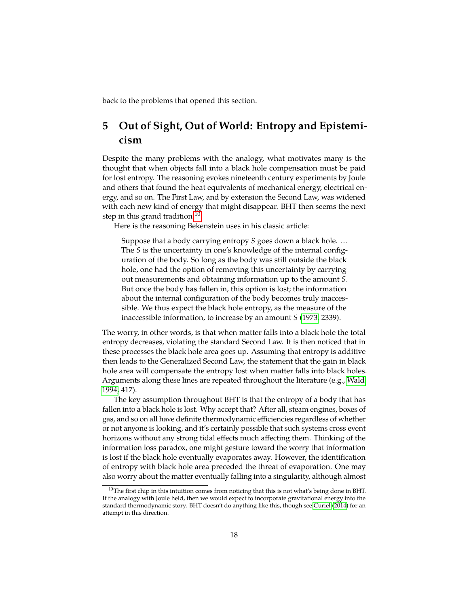back to the problems that opened this section.

# **5 Out of Sight, Out of World: Entropy and Epistemicism**

Despite the many problems with the analogy, what motivates many is the thought that when objects fall into a black hole compensation must be paid for lost entropy. The reasoning evokes nineteenth century experiments by Joule and others that found the heat equivalents of mechanical energy, electrical energy, and so on. The First Law, and by extension the Second Law, was widened with each new kind of energy that might disappear. BHT then seems the next step in this grand tradition.<sup>[10](#page-17-0)</sup>

Here is the reasoning Bekenstein uses in his classic article:

Suppose that a body carrying entropy *S* goes down a black hole... The *S* is the uncertainty in one's knowledge of the internal configuration of the body. So long as the body was still outside the black hole, one had the option of removing this uncertainty by carrying out measurements and obtaining information up to the amount *S*. But once the body has fallen in, this option is lost; the information about the internal configuration of the body becomes truly inaccessible. We thus expect the black hole entropy, as the measure of the inaccessible information, to increase by an amount *S* [\(1973,](#page-23-13) 2339).

The worry, in other words, is that when matter falls into a black hole the total entropy decreases, violating the standard Second Law. It is then noticed that in these processes the black hole area goes up. Assuming that entropy is additive then leads to the Generalized Second Law, the statement that the gain in black hole area will compensate the entropy lost when matter falls into black holes. Arguments along these lines are repeated throughout the literature (e.g., [Wald,](#page-24-1) [1994,](#page-24-1) 417).

The key assumption throughout BHT is that the entropy of a body that has fallen into a black hole is lost. Why accept that? After all, steam engines, boxes of gas, and so on all have definite thermodynamic efficiencies regardless of whether or not anyone is looking, and it's certainly possible that such systems cross event horizons without any strong tidal effects much affecting them. Thinking of the information loss paradox, one might gesture toward the worry that information is lost if the black hole eventually evaporates away. However, the identification of entropy with black hole area preceded the threat of evaporation. One may also worry about the matter eventually falling into a singularity, although almost

<span id="page-17-0"></span><sup>&</sup>lt;sup>10</sup>The first chip in this intuition comes from noticing that this is not what's being done in BHT. If the analogy with Joule held, then we would expect to incorporate gravitational energy into the standard thermodynamic story. BHT doesn't do anything like this, though see [Curiel](#page-23-14) [\(2014\)](#page-23-14) for an attempt in this direction.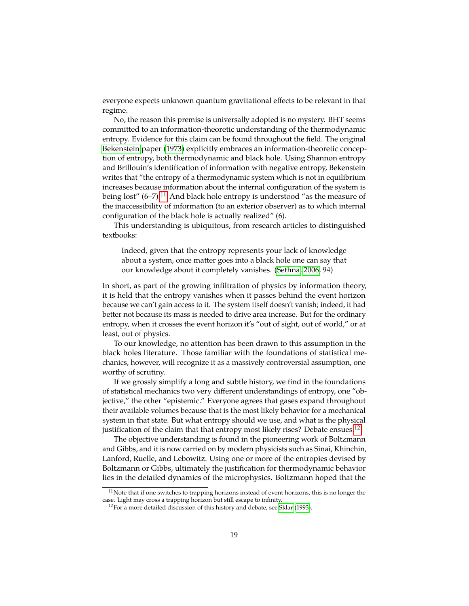everyone expects unknown quantum gravitational effects to be relevant in that regime.

No, the reason this premise is universally adopted is no mystery. BHT seems committed to an information-theoretic understanding of the thermodynamic entropy. Evidence for this claim can be found throughout the field. The original [Bekenstein](#page-23-13) paper [\(1973\)](#page-23-13) explicitly embraces an information-theoretic conception of entropy, both thermodynamic and black hole. Using Shannon entropy and Brillouin's identification of information with negative entropy, Bekenstein writes that "the entropy of a thermodynamic system which is not in equilibrium increases because information about the internal configuration of the system is being lost"  $(6-7)$ .<sup>[11](#page-18-0)</sup> And black hole entropy is understood "as the measure of the inaccessibility of information (to an exterior observer) as to which internal configuration of the black hole is actually realized" (6).

This understanding is ubiquitous, from research articles to distinguished textbooks:

Indeed, given that the entropy represents your lack of knowledge about a system, once matter goes into a black hole one can say that our knowledge about it completely vanishes. [\(Sethna, 2006,](#page-24-10) 94)

In short, as part of the growing infiltration of physics by information theory, it is held that the entropy vanishes when it passes behind the event horizon because we can't gain access to it. The system itself doesn't vanish; indeed, it had better not because its mass is needed to drive area increase. But for the ordinary entropy, when it crosses the event horizon it's "out of sight, out of world," or at least, out of physics.

To our knowledge, no attention has been drawn to this assumption in the black holes literature. Those familiar with the foundations of statistical mechanics, however, will recognize it as a massively controversial assumption, one worthy of scrutiny.

If we grossly simplify a long and subtle history, we find in the foundations of statistical mechanics two very different understandings of entropy, one "objective," the other "epistemic." Everyone agrees that gases expand throughout their available volumes because that is the most likely behavior for a mechanical system in that state. But what entropy should we use, and what is the physical justification of the claim that that entropy most likely rises? Debate ensues.<sup>[12](#page-18-1)</sup>

The objective understanding is found in the pioneering work of Boltzmann and Gibbs, and it is now carried on by modern physicists such as Sinai, Khinchin, Lanford, Ruelle, and Lebowitz. Using one or more of the entropies devised by Boltzmann or Gibbs, ultimately the justification for thermodynamic behavior lies in the detailed dynamics of the microphysics. Boltzmann hoped that the

<span id="page-18-0"></span> $11$ Note that if one switches to trapping horizons instead of event horizons, this is no longer the case. Light may cross a trapping horizon but still escape to infinity.

<span id="page-18-1"></span> $12$  For a more detailed discussion of this history and debate, see [Sklar](#page-24-11) [\(1993\)](#page-24-11).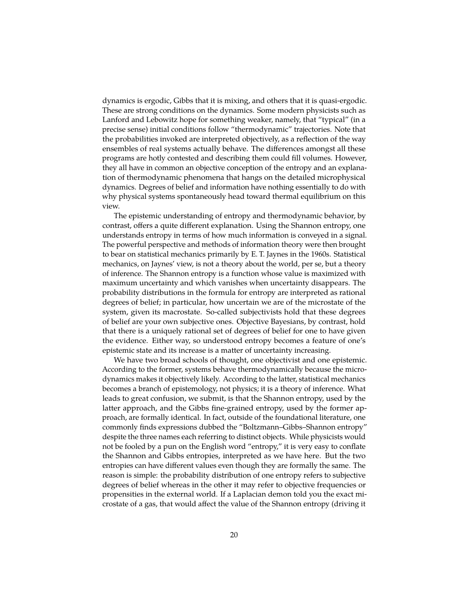dynamics is ergodic, Gibbs that it is mixing, and others that it is quasi-ergodic. These are strong conditions on the dynamics. Some modern physicists such as Lanford and Lebowitz hope for something weaker, namely, that "typical" (in a precise sense) initial conditions follow "thermodynamic" trajectories. Note that the probabilities invoked are interpreted objectively, as a reflection of the way ensembles of real systems actually behave. The differences amongst all these programs are hotly contested and describing them could fill volumes. However, they all have in common an objective conception of the entropy and an explanation of thermodynamic phenomena that hangs on the detailed microphysical dynamics. Degrees of belief and information have nothing essentially to do with why physical systems spontaneously head toward thermal equilibrium on this view.

The epistemic understanding of entropy and thermodynamic behavior, by contrast, offers a quite different explanation. Using the Shannon entropy, one understands entropy in terms of how much information is conveyed in a signal. The powerful perspective and methods of information theory were then brought to bear on statistical mechanics primarily by E. T. Jaynes in the 1960s. Statistical mechanics, on Jaynes' view, is not a theory about the world, per se, but a theory of inference. The Shannon entropy is a function whose value is maximized with maximum uncertainty and which vanishes when uncertainty disappears. The probability distributions in the formula for entropy are interpreted as rational degrees of belief; in particular, how uncertain we are of the microstate of the system, given its macrostate. So-called subjectivists hold that these degrees of belief are your own subjective ones. Objective Bayesians, by contrast, hold that there is a uniquely rational set of degrees of belief for one to have given the evidence. Either way, so understood entropy becomes a feature of one's epistemic state and its increase is a matter of uncertainty increasing.

We have two broad schools of thought, one objectivist and one epistemic. According to the former, systems behave thermodynamically because the microdynamics makes it objectively likely. According to the latter, statistical mechanics becomes a branch of epistemology, not physics; it is a theory of inference. What leads to great confusion, we submit, is that the Shannon entropy, used by the latter approach, and the Gibbs fine-grained entropy, used by the former approach, are formally identical. In fact, outside of the foundational literature, one commonly finds expressions dubbed the "Boltzmann–Gibbs–Shannon entropy" despite the three names each referring to distinct objects. While physicists would not be fooled by a pun on the English word "entropy," it is very easy to conflate the Shannon and Gibbs entropies, interpreted as we have here. But the two entropies can have different values even though they are formally the same. The reason is simple: the probability distribution of one entropy refers to subjective degrees of belief whereas in the other it may refer to objective frequencies or propensities in the external world. If a Laplacian demon told you the exact microstate of a gas, that would affect the value of the Shannon entropy (driving it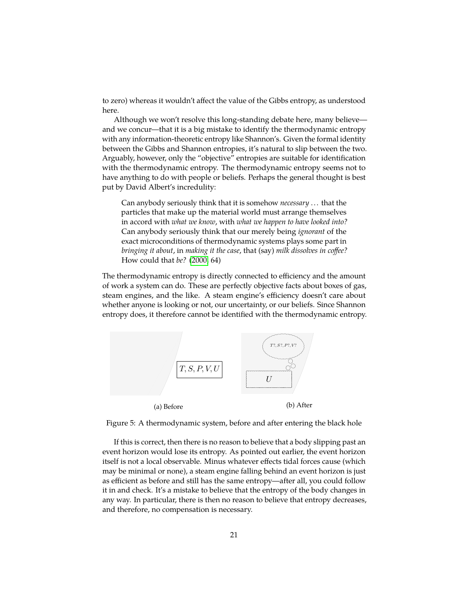to zero) whereas it wouldn't affect the value of the Gibbs entropy, as understood here.

Although we won't resolve this long-standing debate here, many believe and we concur—that it is a big mistake to identify the thermodynamic entropy with any information-theoretic entropy like Shannon's. Given the formal identity between the Gibbs and Shannon entropies, it's natural to slip between the two. Arguably, however, only the "objective" entropies are suitable for identification with the thermodynamic entropy. The thermodynamic entropy seems not to have anything to do with people or beliefs. Perhaps the general thought is best put by David Albert's incredulity:

Can anybody seriously think that it is somehow *necessary* . . . that the particles that make up the material world must arrange themselves in accord with *what we know*, with *what we happen to have looked into?* Can anybody seriously think that our merely being *ignorant* of the exact microconditions of thermodynamic systems plays some part in *bringing it about*, in *making it the case*, that (say) *milk dissolves in coffee?* How could that *be?* [\(2000,](#page-22-2) 64)

The thermodynamic entropy is directly connected to efficiency and the amount of work a system can do. These are perfectly objective facts about boxes of gas, steam engines, and the like. A steam engine's efficiency doesn't care about whether anyone is looking or not, our uncertainty, or our beliefs. Since Shannon entropy does, it therefore cannot be identified with the thermodynamic entropy.



Figure 5: A thermodynamic system, before and after entering the black hole

If this is correct, then there is no reason to believe that a body slipping past an event horizon would lose its entropy. As pointed out earlier, the event horizon itself is not a local observable. Minus whatever effects tidal forces cause (which may be minimal or none), a steam engine falling behind an event horizon is just as efficient as before and still has the same entropy—after all, you could follow it in and check. It's a mistake to believe that the entropy of the body changes in any way. In particular, there is then no reason to believe that entropy decreases, and therefore, no compensation is necessary.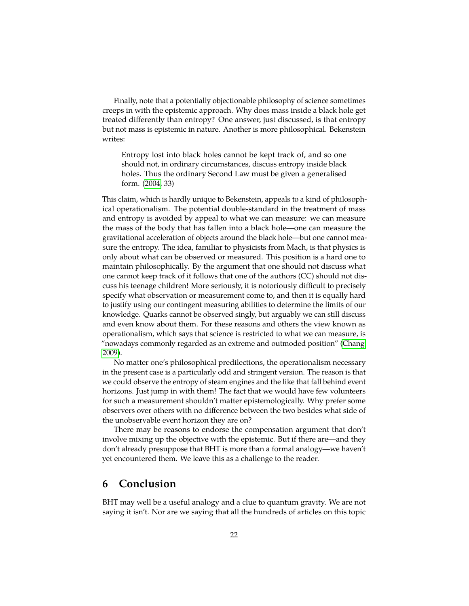Finally, note that a potentially objectionable philosophy of science sometimes creeps in with the epistemic approach. Why does mass inside a black hole get treated differently than entropy? One answer, just discussed, is that entropy but not mass is epistemic in nature. Another is more philosophical. Bekenstein writes:

Entropy lost into black holes cannot be kept track of, and so one should not, in ordinary circumstances, discuss entropy inside black holes. Thus the ordinary Second Law must be given a generalised form. [\(2004,](#page-23-15) 33)

This claim, which is hardly unique to Bekenstein, appeals to a kind of philosophical operationalism. The potential double-standard in the treatment of mass and entropy is avoided by appeal to what we can measure: we can measure the mass of the body that has fallen into a black hole—one can measure the gravitational acceleration of objects around the black hole—but one cannot measure the entropy. The idea, familiar to physicists from Mach, is that physics is only about what can be observed or measured. This position is a hard one to maintain philosophically. By the argument that one should not discuss what one cannot keep track of it follows that one of the authors (CC) should not discuss his teenage children! More seriously, it is notoriously difficult to precisely specify what observation or measurement come to, and then it is equally hard to justify using our contingent measuring abilities to determine the limits of our knowledge. Quarks cannot be observed singly, but arguably we can still discuss and even know about them. For these reasons and others the view known as operationalism, which says that science is restricted to what we can measure, is "nowadays commonly regarded as an extreme and outmoded position" [\(Chang,](#page-23-16) [2009\)](#page-23-16).

No matter one's philosophical predilections, the operationalism necessary in the present case is a particularly odd and stringent version. The reason is that we could observe the entropy of steam engines and the like that fall behind event horizons. Just jump in with them! The fact that we would have few volunteers for such a measurement shouldn't matter epistemologically. Why prefer some observers over others with no difference between the two besides what side of the unobservable event horizon they are on?

There may be reasons to endorse the compensation argument that don't involve mixing up the objective with the epistemic. But if there are—and they don't already presuppose that BHT is more than a formal analogy—we haven't yet encountered them. We leave this as a challenge to the reader.

### **6 Conclusion**

BHT may well be a useful analogy and a clue to quantum gravity. We are not saying it isn't. Nor are we saying that all the hundreds of articles on this topic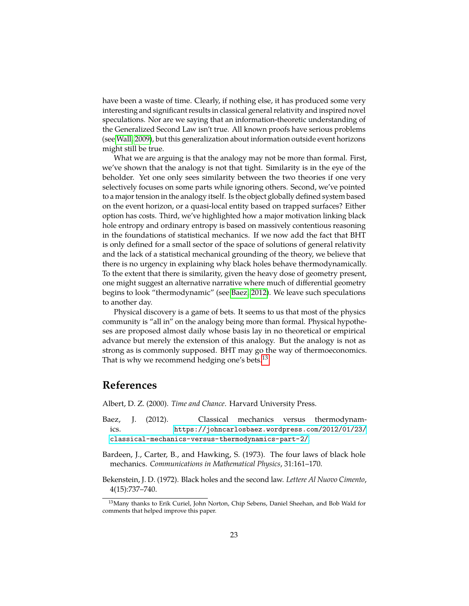have been a waste of time. Clearly, if nothing else, it has produced some very interesting and significant results in classical general relativity and inspired novel speculations. Nor are we saying that an information-theoretic understanding of the Generalized Second Law isn't true. All known proofs have serious problems (see [Wall, 2009\)](#page-24-5), but this generalization about information outside event horizons might still be true.

What we are arguing is that the analogy may not be more than formal. First, we've shown that the analogy is not that tight. Similarity is in the eye of the beholder. Yet one only sees similarity between the two theories if one very selectively focuses on some parts while ignoring others. Second, we've pointed to a major tension in the analogy itself. Is the object globally defined system based on the event horizon, or a quasi-local entity based on trapped surfaces? Either option has costs. Third, we've highlighted how a major motivation linking black hole entropy and ordinary entropy is based on massively contentious reasoning in the foundations of statistical mechanics. If we now add the fact that BHT is only defined for a small sector of the space of solutions of general relativity and the lack of a statistical mechanical grounding of the theory, we believe that there is no urgency in explaining why black holes behave thermodynamically. To the extent that there is similarity, given the heavy dose of geometry present, one might suggest an alternative narrative where much of differential geometry begins to look "thermodynamic" (see [Baez, 2012\)](#page-22-3). We leave such speculations to another day.

Physical discovery is a game of bets. It seems to us that most of the physics community is "all in" on the analogy being more than formal. Physical hypotheses are proposed almost daily whose basis lay in no theoretical or empirical advance but merely the extension of this analogy. But the analogy is not as strong as is commonly supposed. BHT may go the way of thermoeconomics. That is why we recommend hedging one's bets.<sup>[13](#page-22-4)</sup>

### **References**

<span id="page-22-2"></span>Albert, D. Z. (2000). *Time and Chance*. Harvard University Press.

- <span id="page-22-3"></span>Baez, J. (2012). Classical mechanics versus thermodynamics. [https://johncarlosbaez.wordpress.com/2012/01/23/](https://johncarlosbaez.wordpress.com/2012/01/23/classical-mechanics-versus-thermodynamics-part-2/) [classical-mechanics-versus-thermodynamics-part-2/](https://johncarlosbaez.wordpress.com/2012/01/23/classical-mechanics-versus-thermodynamics-part-2/).
- <span id="page-22-0"></span>Bardeen, J., Carter, B., and Hawking, S. (1973). The four laws of black hole mechanics. *Communications in Mathematical Physics*, 31:161–170.
- <span id="page-22-1"></span>Bekenstein, J. D. (1972). Black holes and the second law. *Lettere Al Nuovo Cimento*, 4(15):737–740.

<span id="page-22-4"></span><sup>&</sup>lt;sup>13</sup>Many thanks to Erik Curiel, John Norton, Chip Sebens, Daniel Sheehan, and Bob Wald for comments that helped improve this paper.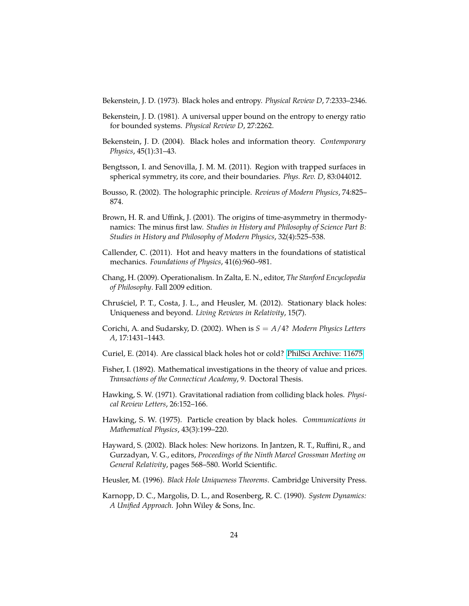<span id="page-23-13"></span>Bekenstein, J. D. (1973). Black holes and entropy. *Physical Review D*, 7:2333–2346.

- <span id="page-23-3"></span>Bekenstein, J. D. (1981). A universal upper bound on the entropy to energy ratio for bounded systems. *Physical Review D*, 27:2262.
- <span id="page-23-15"></span>Bekenstein, J. D. (2004). Black holes and information theory. *Contemporary Physics*, 45(1):31–43.
- <span id="page-23-12"></span>Bengtsson, I. and Senovilla, J. M. M. (2011). Region with trapped surfaces in spherical symmetry, its core, and their boundaries. *Phys. Rev. D*, 83:044012.
- <span id="page-23-5"></span>Bousso, R. (2002). The holographic principle. *Reviews of Modern Physics*, 74:825– 874.
- <span id="page-23-8"></span>Brown, H. R. and Uffink, J. (2001). The origins of time-asymmetry in thermodynamics: The minus first law. *Studies in History and Philosophy of Science Part B: Studies in History and Philosophy of Modern Physics*, 32(4):525–538.
- <span id="page-23-10"></span>Callender, C. (2011). Hot and heavy matters in the foundations of statistical mechanics. *Foundations of Physics*, 41(6):960–981.
- <span id="page-23-16"></span>Chang, H. (2009). Operationalism. In Zalta, E. N., editor, *The Stanford Encyclopedia of Philosophy*. Fall 2009 edition.
- <span id="page-23-1"></span>Chruściel, P. T., Costa, J. L., and Heusler, M. (2012). Stationary black holes: Uniqueness and beyond. *Living Reviews in Relativity*, 15(7).
- <span id="page-23-9"></span>Corichi, A. and Sudarsky, D. (2002). When is *S* = *A*/4? *Modern Physics Letters A*, 17:1431–1443.
- <span id="page-23-14"></span>Curiel, E. (2014). Are classical black holes hot or cold? [PhilSci Archive: 11675.](http://philsci-archive.pitt.edu/11675/)
- <span id="page-23-6"></span>Fisher, I. (1892). Mathematical investigations in the theory of value and prices. *Transactions of the Connecticut Academy*, 9. Doctoral Thesis.
- <span id="page-23-0"></span>Hawking, S. W. (1971). Gravitational radiation from colliding black holes. *Physical Review Letters*, 26:152–166.
- <span id="page-23-4"></span>Hawking, S. W. (1975). Particle creation by black holes. *Communications in Mathematical Physics*, 43(3):199–220.
- <span id="page-23-11"></span>Hayward, S. (2002). Black holes: New horizons. In Jantzen, R. T., Ruffini, R., and Gurzadyan, V. G., editors, *Proceedings of the Ninth Marcel Grossman Meeting on General Relativity*, pages 568–580. World Scientific.
- <span id="page-23-2"></span>Heusler, M. (1996). *Black Hole Uniqueness Theorems*. Cambridge University Press.
- <span id="page-23-7"></span>Karnopp, D. C., Margolis, D. L., and Rosenberg, R. C. (1990). *System Dynamics: A Unified Approach*. John Wiley & Sons, Inc.